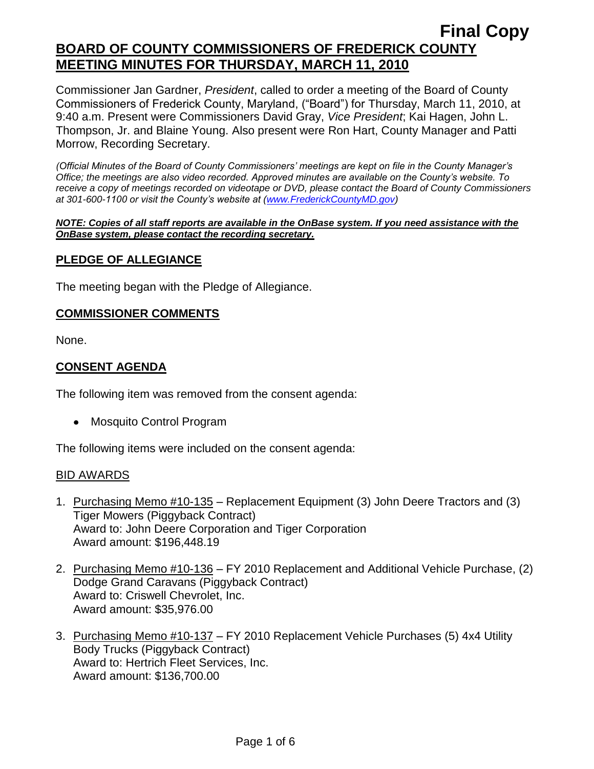Commissioner Jan Gardner, *President*, called to order a meeting of the Board of County Commissioners of Frederick County, Maryland, ("Board") for Thursday, March 11, 2010, at 9:40 a.m. Present were Commissioners David Gray, *Vice President*; Kai Hagen, John L. Thompson, Jr. and Blaine Young. Also present were Ron Hart, County Manager and Patti Morrow, Recording Secretary.

*(Official Minutes of the Board of County Commissioners' meetings are kept on file in the County Manager's Office; the meetings are also video recorded. Approved minutes are available on the County's website. To receive a copy of meetings recorded on videotape or DVD, please contact the Board of County Commissioners at 301-600-1100 or visit the County's website at [\(www.FrederickCountyMD.gov\)](http://www.frederickcountymd.gov/)*

#### *NOTE: Copies of all staff reports are available in the OnBase system. If you need assistance with the OnBase system, please contact the recording secretary.*

### **PLEDGE OF ALLEGIANCE**

The meeting began with the Pledge of Allegiance.

#### **COMMISSIONER COMMENTS**

None.

### **CONSENT AGENDA**

The following item was removed from the consent agenda:

• Mosquito Control Program

The following items were included on the consent agenda:

#### BID AWARDS

- 1. Purchasing Memo #10-135 Replacement Equipment (3) John Deere Tractors and (3) Tiger Mowers (Piggyback Contract) Award to: John Deere Corporation and Tiger Corporation Award amount: \$196,448.19
- 2. Purchasing Memo #10-136 FY 2010 Replacement and Additional Vehicle Purchase, (2) Dodge Grand Caravans (Piggyback Contract) Award to: Criswell Chevrolet, Inc. Award amount: \$35,976.00
- 3. Purchasing Memo #10-137 FY 2010 Replacement Vehicle Purchases (5) 4x4 Utility Body Trucks (Piggyback Contract) Award to: Hertrich Fleet Services, Inc. Award amount: \$136,700.00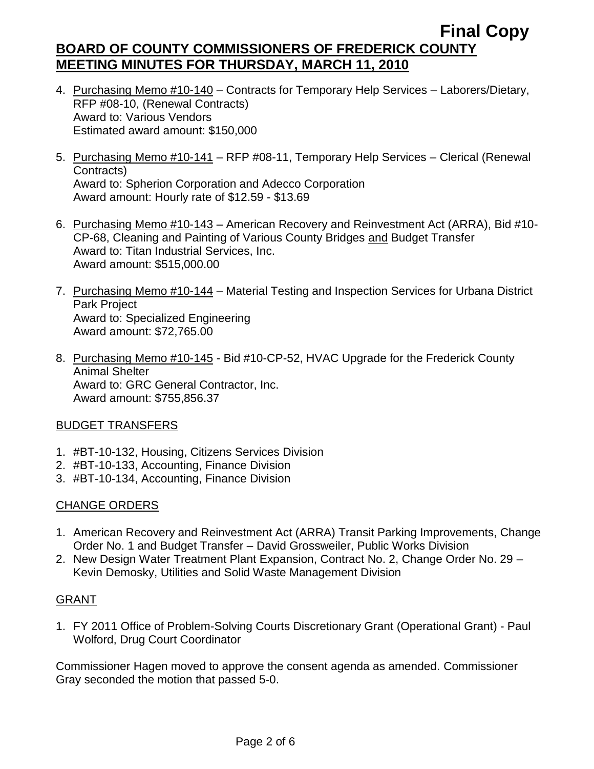- 4. Purchasing Memo #10-140 Contracts for Temporary Help Services Laborers/Dietary, RFP #08-10, (Renewal Contracts) Award to: Various Vendors Estimated award amount: \$150,000
- 5. Purchasing Memo #10-141 RFP #08-11, Temporary Help Services Clerical (Renewal Contracts) Award to: Spherion Corporation and Adecco Corporation Award amount: Hourly rate of \$12.59 - \$13.69
- 6. Purchasing Memo #10-143 American Recovery and Reinvestment Act (ARRA), Bid #10- CP-68, Cleaning and Painting of Various County Bridges and Budget Transfer Award to: Titan Industrial Services, Inc. Award amount: \$515,000.00
- 7. Purchasing Memo #10-144 Material Testing and Inspection Services for Urbana District Park Project Award to: Specialized Engineering Award amount: \$72,765.00
- 8. Purchasing Memo #10-145 Bid #10-CP-52, HVAC Upgrade for the Frederick County Animal Shelter Award to: GRC General Contractor, Inc. Award amount: \$755,856.37

### BUDGET TRANSFERS

- 1. #BT-10-132, Housing, Citizens Services Division
- 2. #BT-10-133, Accounting, Finance Division
- 3. #BT-10-134, Accounting, Finance Division

## CHANGE ORDERS

- 1. American Recovery and Reinvestment Act (ARRA) Transit Parking Improvements, Change Order No. 1 and Budget Transfer – David Grossweiler, Public Works Division
- 2. New Design Water Treatment Plant Expansion, Contract No. 2, Change Order No. 29 Kevin Demosky, Utilities and Solid Waste Management Division

## GRANT

1. FY 2011 Office of Problem-Solving Courts Discretionary Grant (Operational Grant) - Paul Wolford, Drug Court Coordinator

Commissioner Hagen moved to approve the consent agenda as amended. Commissioner Gray seconded the motion that passed 5-0.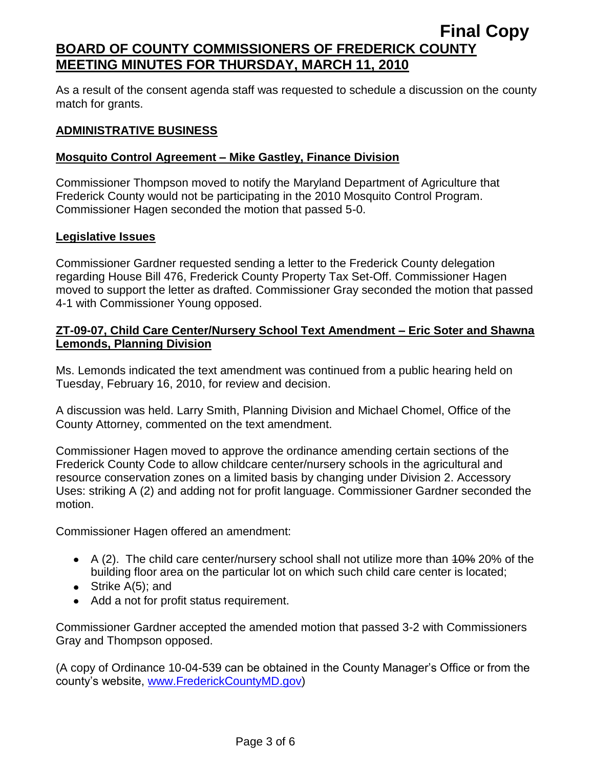As a result of the consent agenda staff was requested to schedule a discussion on the county match for grants.

## **ADMINISTRATIVE BUSINESS**

### **Mosquito Control Agreement – Mike Gastley, Finance Division**

Commissioner Thompson moved to notify the Maryland Department of Agriculture that Frederick County would not be participating in the 2010 Mosquito Control Program. Commissioner Hagen seconded the motion that passed 5-0.

### **Legislative Issues**

Commissioner Gardner requested sending a letter to the Frederick County delegation regarding House Bill 476, Frederick County Property Tax Set-Off. Commissioner Hagen moved to support the letter as drafted. Commissioner Gray seconded the motion that passed 4-1 with Commissioner Young opposed.

### **ZT-09-07, Child Care Center/Nursery School Text Amendment – Eric Soter and Shawna Lemonds, Planning Division**

Ms. Lemonds indicated the text amendment was continued from a public hearing held on Tuesday, February 16, 2010, for review and decision.

A discussion was held. Larry Smith, Planning Division and Michael Chomel, Office of the County Attorney, commented on the text amendment.

Commissioner Hagen moved to approve the ordinance amending certain sections of the Frederick County Code to allow childcare center/nursery schools in the agricultural and resource conservation zones on a limited basis by changing under Division 2. Accessory Uses: striking A (2) and adding not for profit language. Commissioner Gardner seconded the motion.

Commissioner Hagen offered an amendment:

- $\bullet$  A (2). The child care center/nursery school shall not utilize more than  $10\%$  20% of the building floor area on the particular lot on which such child care center is located;
- $\bullet$  Strike A(5); and
- Add a not for profit status requirement.

Commissioner Gardner accepted the amended motion that passed 3-2 with Commissioners Gray and Thompson opposed.

(A copy of Ordinance 10-04-539 can be obtained in the County Manager's Office or from the county's website, [www.FrederickCountyMD.gov\)](http://www.frederickcountymd.gov/)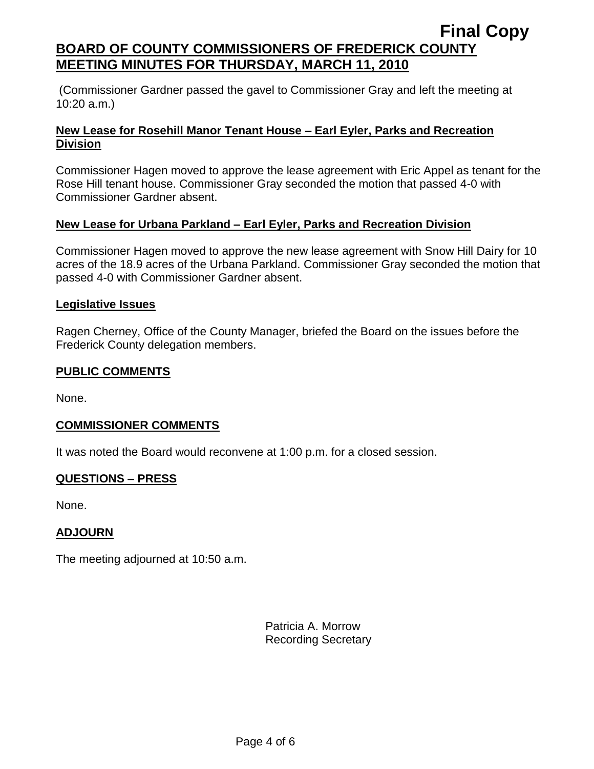(Commissioner Gardner passed the gavel to Commissioner Gray and left the meeting at 10:20 a.m.)

### **New Lease for Rosehill Manor Tenant House – Earl Eyler, Parks and Recreation Division**

Commissioner Hagen moved to approve the lease agreement with Eric Appel as tenant for the Rose Hill tenant house. Commissioner Gray seconded the motion that passed 4-0 with Commissioner Gardner absent.

### **New Lease for Urbana Parkland – Earl Eyler, Parks and Recreation Division**

Commissioner Hagen moved to approve the new lease agreement with Snow Hill Dairy for 10 acres of the 18.9 acres of the Urbana Parkland. Commissioner Gray seconded the motion that passed 4-0 with Commissioner Gardner absent.

### **Legislative Issues**

Ragen Cherney, Office of the County Manager, briefed the Board on the issues before the Frederick County delegation members.

### **PUBLIC COMMENTS**

None.

## **COMMISSIONER COMMENTS**

It was noted the Board would reconvene at 1:00 p.m. for a closed session.

## **QUESTIONS – PRESS**

None.

## **ADJOURN**

The meeting adjourned at 10:50 a.m.

Patricia A. Morrow Recording Secretary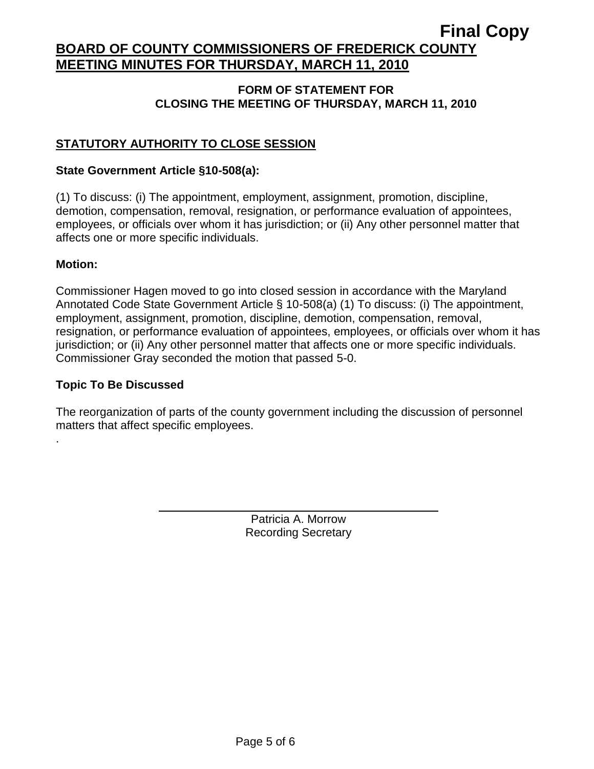### **FORM OF STATEMENT FOR CLOSING THE MEETING OF THURSDAY, MARCH 11, 2010**

## **STATUTORY AUTHORITY TO CLOSE SESSION**

#### **State Government Article §10-508(a):**

(1) To discuss: (i) The appointment, employment, assignment, promotion, discipline, demotion, compensation, removal, resignation, or performance evaluation of appointees, employees, or officials over whom it has jurisdiction; or (ii) Any other personnel matter that affects one or more specific individuals.

#### **Motion:**

.

Commissioner Hagen moved to go into closed session in accordance with the Maryland Annotated Code State Government Article § 10-508(a) (1) To discuss: (i) The appointment, employment, assignment, promotion, discipline, demotion, compensation, removal, resignation, or performance evaluation of appointees, employees, or officials over whom it has jurisdiction; or (ii) Any other personnel matter that affects one or more specific individuals. Commissioner Gray seconded the motion that passed 5-0.

#### **Topic To Be Discussed**

The reorganization of parts of the county government including the discussion of personnel matters that affect specific employees.

> Patricia A. Morrow Recording Secretary